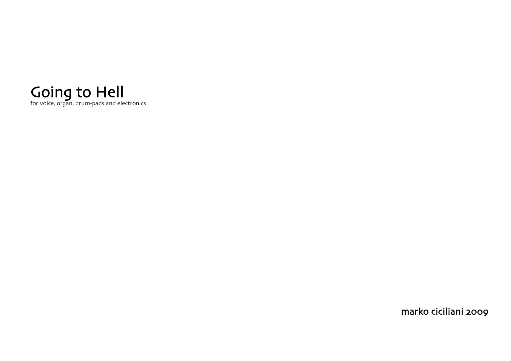

marko ciciliani 2009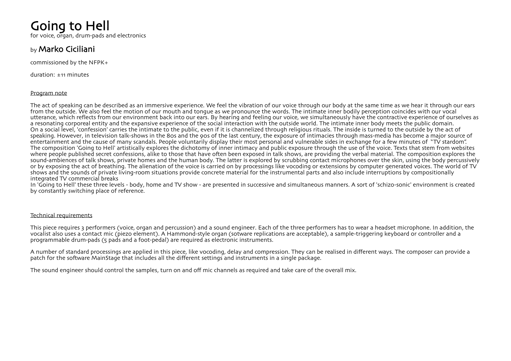# Going to Hell

for voice, organ, drum-pads and electronics

### by Marko Ciciliani

commissioned by the NFPK+

duration: ±11 minutes

#### Program note

The act of speaking can be described as an immersive experience. We feel the vibration of our voice through our body at the same time as we hear it through our ears from the outside. We also feel the motion of our mouth and tongue as we pronounce the words. The intimate inner bodily perception coincides with our vocal utterance, which reflects from our environment back into our ears. By hearing and feeling our voice, we simultaneously have the contractive experience of ourselves as a resonating corporeal entity and the expansive experience of the social interaction with the outside world. The intimate inner body meets the public domain. On a social level, 'confession' carries the intimate to the public, even if it is channelized through religious rituals. The inside is turned to the outside by the act of speaking. However, in television talk-shows in the 80s and the 90s of the last century, the exposure of intimacies through mass-media has become a major source of entertainment and the cause of many scandals. People voluntarily display their most personal and vulnerable sides in exchange for a few minutes of "TV stardom". The composition 'Going to Hell' artistically explores the dichotomy of inner intimacy and public exposure through the use of the voice. Texts that stem from websites where people published secret confessions, alike to those that have often been exposed in talk shows, are providing the verbal material. The composition explores the sound-ambiences of talk shows, private homes and the human body. The latter is explored by scrubbing contact microphones over the skin, using the body percussively or by exposing the act of breathing. The alienation of the voice is carried on by processings like vocoding or extensions by computer generated voices. The world of TV shows and the sounds of private living-room situations provide concrete material for the instrumental parts and also include interruptions by compositionally integrated TV commercial breaks

In 'Going to Hell' these three levels - body, home and TV show - are presented in successive and simultaneous manners. A sort of 'schizo-sonic' environment is created by constantly switching place of reference.

#### Technical requirements

This piece requires 3 performers (voice, organ and percussion) and a sound engineer. Each of the three performers has to wear a headset microphone. In addition, the vocalist also uses a contact mic (piezo element). A Hammond-style organ (sotware replications are acceptable), a sample-triggering keyboard or controller and a programmable drum-pads (5 pads and a foot-pedal) are required as electronic instruments.

A number of standard processings are applied in this piece, like vocoding, delay and compression. They can be realised in different ways. The composer can provide a patch for the software MainStage that includes all the different settings and instruments in a single package.

The sound engineer should control the samples, turn on and off mic channels as required and take care of the overall mix.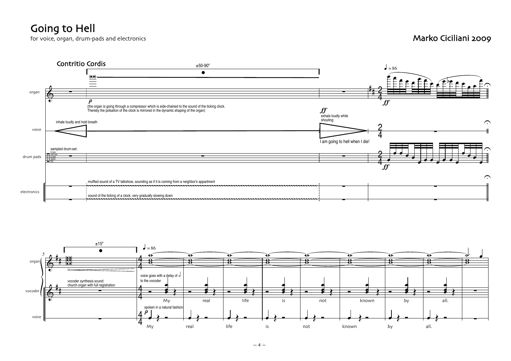## Going to Hell

for voice, organ, drum-pads and electronics and the control of the control of the control of the control of the control of the control of the control of the control of the control of the control of the control of the contr



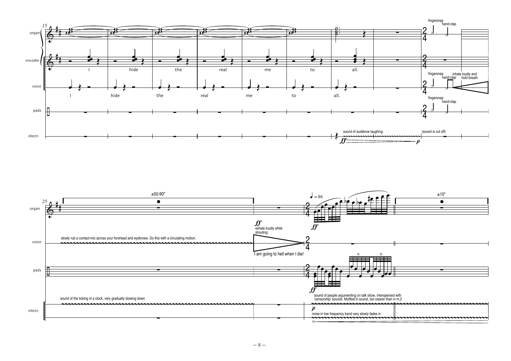

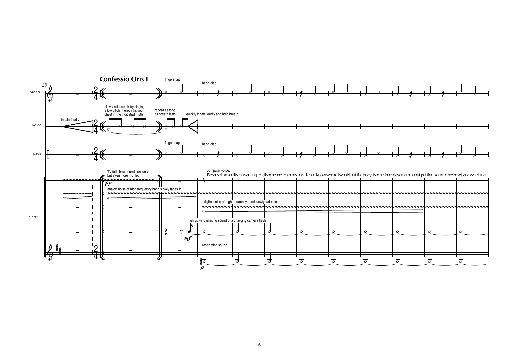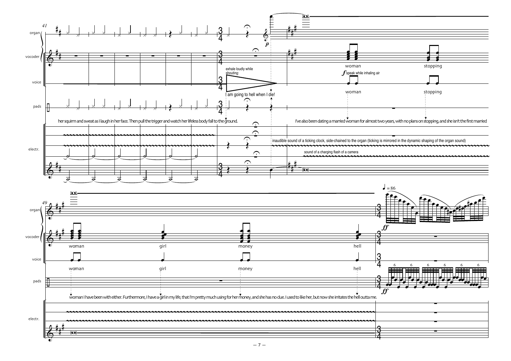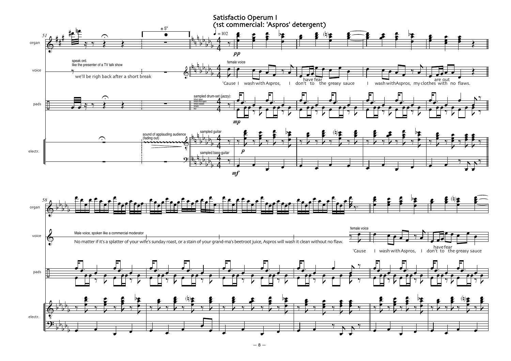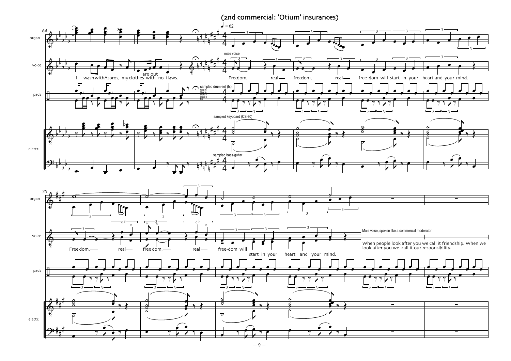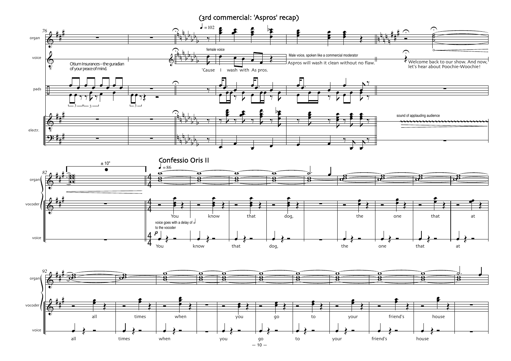(3rd commercial: 'Aspros' recap)

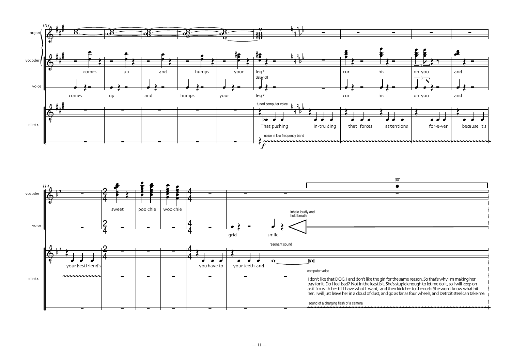

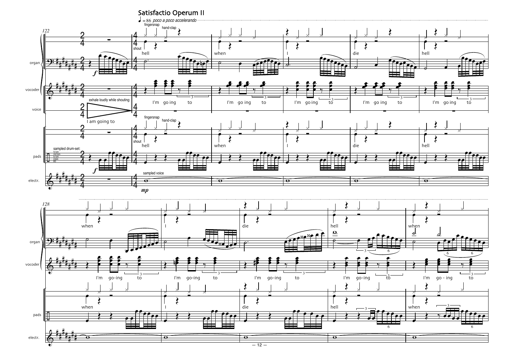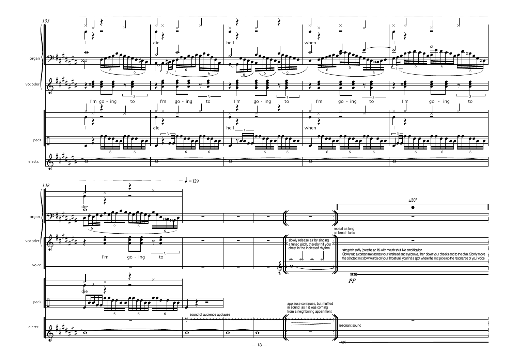